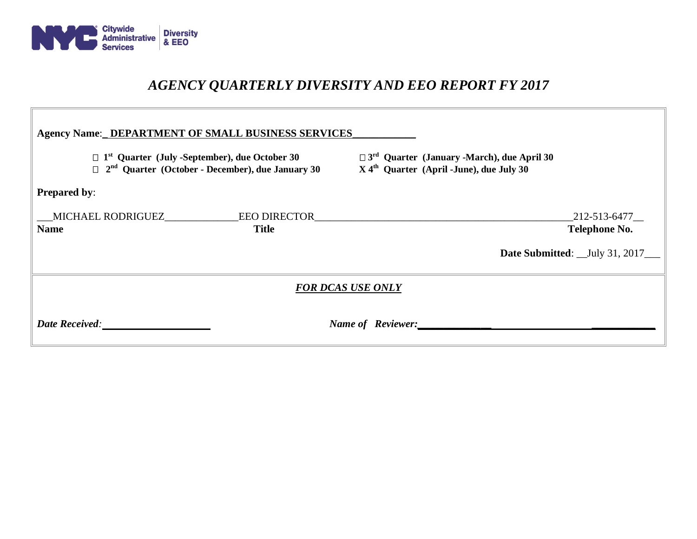

# *AGENCY QUARTERLY DIVERSITY AND EEO REPORT FY 2017*

 $\overline{a}$ 

| <b>Agency Name:_DEPARTMENT OF SMALL BUSINESS SERVICES</b>                                                                               |              |                                                                                                                         |                                                                            |
|-----------------------------------------------------------------------------------------------------------------------------------------|--------------|-------------------------------------------------------------------------------------------------------------------------|----------------------------------------------------------------------------|
| $\Box$ 1 <sup>st</sup> Quarter (July -September), due October 30<br>$\Box$ 2 <sup>nd</sup> Quarter (October - December), due January 30 |              | $\Box$ 3 <sup>rd</sup> Quarter (January -March), due April 30<br>$X$ 4 <sup>th</sup> Quarter (April -June), due July 30 |                                                                            |
| <b>Prepared by:</b>                                                                                                                     |              |                                                                                                                         |                                                                            |
| <b>Name</b>                                                                                                                             | <b>Title</b> |                                                                                                                         | _212-513-6477__<br><b>Telephone No.</b><br>Date Submitted: _July 31, 2017_ |
| <b>FOR DCAS USE ONLY</b>                                                                                                                |              |                                                                                                                         |                                                                            |
|                                                                                                                                         |              | Name of Reviewer:                                                                                                       |                                                                            |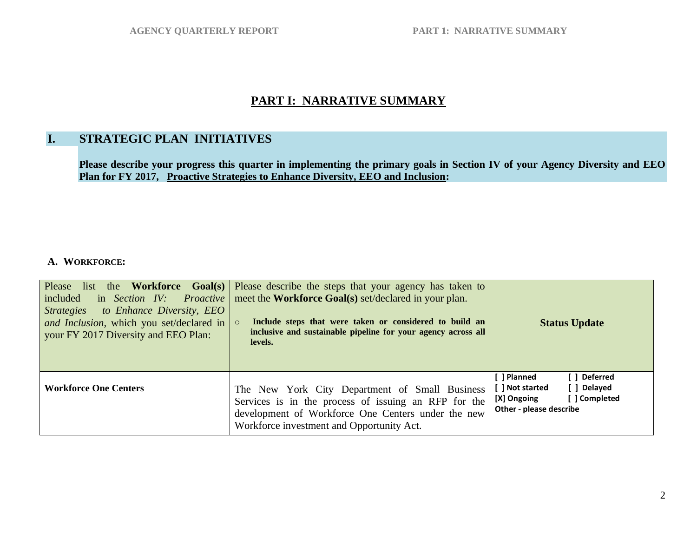# **PART I: NARRATIVE SUMMARY**

# **I. STRATEGIC PLAN INITIATIVES**

**Please describe your progress this quarter in implementing the primary goals in Section IV of your Agency Diversity and EEO Plan for FY 2017, Proactive Strategies to Enhance Diversity, EEO and Inclusion:**

#### **A. WORKFORCE:**

| Please<br>list the Workforce Goal(s) $\vert$<br>included<br>in Section IV:<br>Proactive<br>to Enhance Diversity, EEO<br><i>Strategies</i><br>and Inclusion, which you set/declared in<br>your FY 2017 Diversity and EEO Plan: | Please describe the steps that your agency has taken to<br>meet the <b>Workforce Goal(s)</b> set/declared in your plan.<br>Include steps that were taken or considered to build an<br>$\circ$<br>inclusive and sustainable pipeline for your agency across all<br>levels. | <b>Status Update</b>                                                                                                     |
|-------------------------------------------------------------------------------------------------------------------------------------------------------------------------------------------------------------------------------|---------------------------------------------------------------------------------------------------------------------------------------------------------------------------------------------------------------------------------------------------------------------------|--------------------------------------------------------------------------------------------------------------------------|
| <b>Workforce One Centers</b>                                                                                                                                                                                                  | The New York City Department of Small Business<br>Services is in the process of issuing an RFP for the<br>development of Workforce One Centers under the new<br>Workforce investment and Opportunity Act.                                                                 | [ ] Planned<br>[ ] Deferred<br>[ ] Not started<br>[ ] Delayed<br>[ ] Completed<br>[X] Ongoing<br>Other - please describe |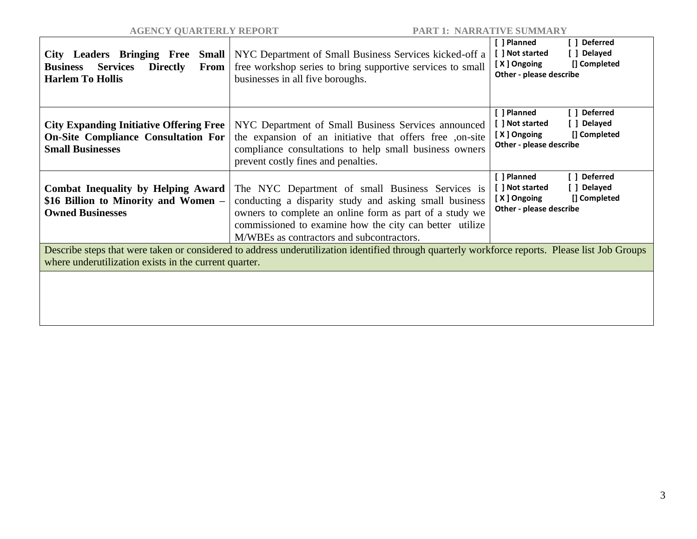| City Leaders Bringing Free<br>Small<br><b>Services</b><br><b>Directly</b><br>From<br><b>Business</b><br><b>Harlem To Hollis</b>                                                                          | NYC Department of Small Business Services kicked-off a<br>free workshop series to bring supportive services to small<br>businesses in all five boroughs.                                                                                                                      | [ ] Deferred<br>[ ] Planned<br>[ ] Not started<br>[ ] Delayed<br>[] Completed<br>[X] Ongoing<br>Other - please describe |
|----------------------------------------------------------------------------------------------------------------------------------------------------------------------------------------------------------|-------------------------------------------------------------------------------------------------------------------------------------------------------------------------------------------------------------------------------------------------------------------------------|-------------------------------------------------------------------------------------------------------------------------|
| <b>City Expanding Initiative Offering Free</b><br><b>On-Site Compliance Consultation For</b><br><b>Small Businesses</b>                                                                                  | NYC Department of Small Business Services announced<br>the expansion of an initiative that offers free ,on-site<br>compliance consultations to help small business owners<br>prevent costly fines and penalties.                                                              | [ ] Planned<br>[ ] Deferred<br>[ ] Delayed<br>[ ] Not started<br>[X] Ongoing<br>[] Completed<br>Other - please describe |
| <b>Combat Inequality by Helping Award</b><br>\$16 Billion to Minority and Women -<br><b>Owned Businesses</b>                                                                                             | The NYC Department of small Business Services is<br>conducting a disparity study and asking small business<br>owners to complete an online form as part of a study we<br>commissioned to examine how the city can better utilize<br>M/WBEs as contractors and subcontractors. | [ ] Planned<br>[ ] Deferred<br>[ ] Not started<br>[ ] Delayed<br>[X] Ongoing<br>[] Completed<br>Other - please describe |
| Describe steps that were taken or considered to address underutilization identified through quarterly workforce reports. Please list Job Groups<br>where underutilization exists in the current quarter. |                                                                                                                                                                                                                                                                               |                                                                                                                         |
|                                                                                                                                                                                                          |                                                                                                                                                                                                                                                                               |                                                                                                                         |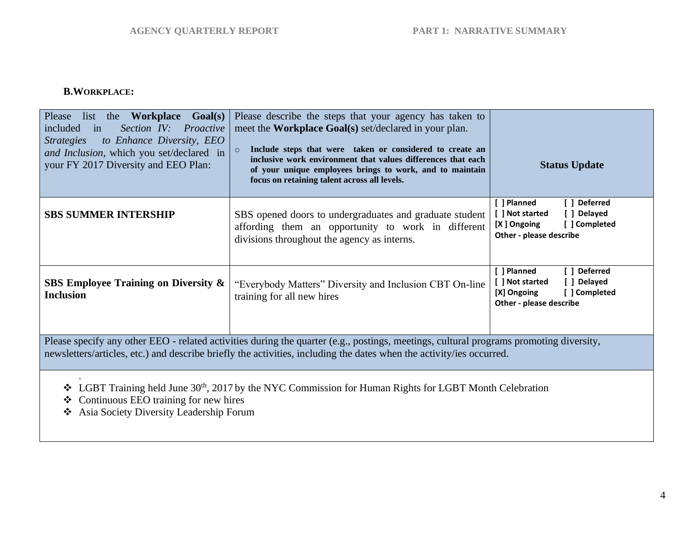### **B.WORKPLACE:**

| Please<br>list<br>the<br><b>Workplace Goal(s)</b><br>Section IV: Proactive<br>included<br>in<br>to Enhance Diversity, EEO<br><i><u><b>Strategies</b></u></i><br>and Inclusion, which you set/declared in<br>your FY 2017 Diversity and EEO Plan:               | Please describe the steps that your agency has taken to<br>meet the <b>Workplace Goal(s)</b> set/declared in your plan.<br>Include steps that were taken or considered to create an<br>$\circ$<br>inclusive work environment that values differences that each<br>of your unique employees brings to work, and to maintain<br>focus on retaining talent across all levels. | <b>Status Update</b>                                                                                                     |
|----------------------------------------------------------------------------------------------------------------------------------------------------------------------------------------------------------------------------------------------------------------|----------------------------------------------------------------------------------------------------------------------------------------------------------------------------------------------------------------------------------------------------------------------------------------------------------------------------------------------------------------------------|--------------------------------------------------------------------------------------------------------------------------|
| <b>SBS SUMMER INTERSHIP</b>                                                                                                                                                                                                                                    | SBS opened doors to undergraduates and graduate student<br>affording them an opportunity to work in different<br>divisions throughout the agency as interns.                                                                                                                                                                                                               | [ ] Planned<br>[ ] Deferred<br>[ ] Not started<br>[ ] Delayed<br>[X] Ongoing<br>[ ] Completed<br>Other - please describe |
| <b>SBS Employee Training on Diversity &amp;</b><br><b>Inclusion</b>                                                                                                                                                                                            | "Everybody Matters" Diversity and Inclusion CBT On-line<br>training for all new hires                                                                                                                                                                                                                                                                                      | [ ] Deferred<br>[ ] Planned<br>[ ] Not started<br>[ ] Delayed<br>[X] Ongoing<br>[ ] Completed<br>Other - please describe |
| Please specify any other EEO - related activities during the quarter (e.g., postings, meetings, cultural programs promoting diversity,<br>newsletters/articles, etc.) and describe briefly the activities, including the dates when the activity/ies occurred. |                                                                                                                                                                                                                                                                                                                                                                            |                                                                                                                          |
| $\bullet$ LGBT Training held June 30 <sup>th</sup> , 2017 by the NYC Commission for Human Rights for LGBT Month Celebration<br>Continuous EEO training for new hires<br>❖<br>❖ Asia Society Diversity Leadership Forum                                         |                                                                                                                                                                                                                                                                                                                                                                            |                                                                                                                          |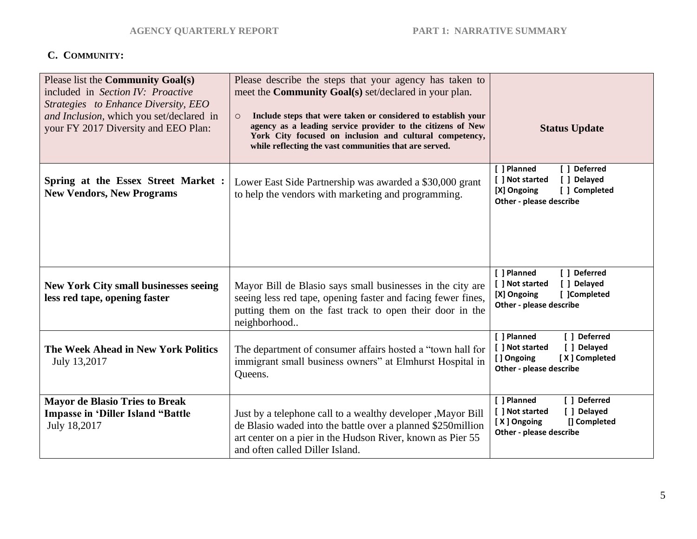# **C. COMMUNITY:**

| Please list the Community Goal(s)<br>included in Section IV: Proactive<br>Strategies to Enhance Diversity, EEO<br>and Inclusion, which you set/declared in<br>your FY 2017 Diversity and EEO Plan: | Please describe the steps that your agency has taken to<br>meet the <b>Community Goal(s)</b> set/declared in your plan.<br>Include steps that were taken or considered to establish your<br>$\circ$<br>agency as a leading service provider to the citizens of New<br>York City focused on inclusion and cultural competency,<br>while reflecting the vast communities that are served. | <b>Status Update</b>                                                                                                     |
|----------------------------------------------------------------------------------------------------------------------------------------------------------------------------------------------------|-----------------------------------------------------------------------------------------------------------------------------------------------------------------------------------------------------------------------------------------------------------------------------------------------------------------------------------------------------------------------------------------|--------------------------------------------------------------------------------------------------------------------------|
| Spring at the Essex Street Market :<br><b>New Vendors, New Programs</b>                                                                                                                            | Lower East Side Partnership was awarded a \$30,000 grant<br>to help the vendors with marketing and programming.                                                                                                                                                                                                                                                                         | [ ] Deferred<br>[ ] Planned<br>[ ] Not started<br>[ ] Delayed<br>[X] Ongoing<br>[ ] Completed<br>Other - please describe |
| <b>New York City small businesses seeing</b><br>less red tape, opening faster                                                                                                                      | Mayor Bill de Blasio says small businesses in the city are<br>seeing less red tape, opening faster and facing fewer fines,<br>putting them on the fast track to open their door in the<br>neighborhood                                                                                                                                                                                  | [ ] Planned<br>[ ] Deferred<br>[ ] Not started<br>[ ] Delayed<br>[X] Ongoing<br>[ ]Completed<br>Other - please describe  |
| The Week Ahead in New York Politics<br>July 13,2017                                                                                                                                                | The department of consumer affairs hosted a "town hall for<br>immigrant small business owners" at Elmhurst Hospital in<br>Queens.                                                                                                                                                                                                                                                       | [ ] Planned<br>[ ] Deferred<br>[ ] Not started<br>[ ] Delayed<br>[] Ongoing<br>[X] Completed<br>Other - please describe  |
| <b>Mayor de Blasio Tries to Break</b><br><b>Impasse in 'Diller Island "Battle</b><br>July 18,2017                                                                                                  | Just by a telephone call to a wealthy developer , Mayor Bill<br>de Blasio waded into the battle over a planned \$250million<br>art center on a pier in the Hudson River, known as Pier 55<br>and often called Diller Island.                                                                                                                                                            | [ ] Planned<br>[ ] Deferred<br>[ ] Delayed<br>[ ] Not started<br>[X] Ongoing<br>[] Completed<br>Other - please describe  |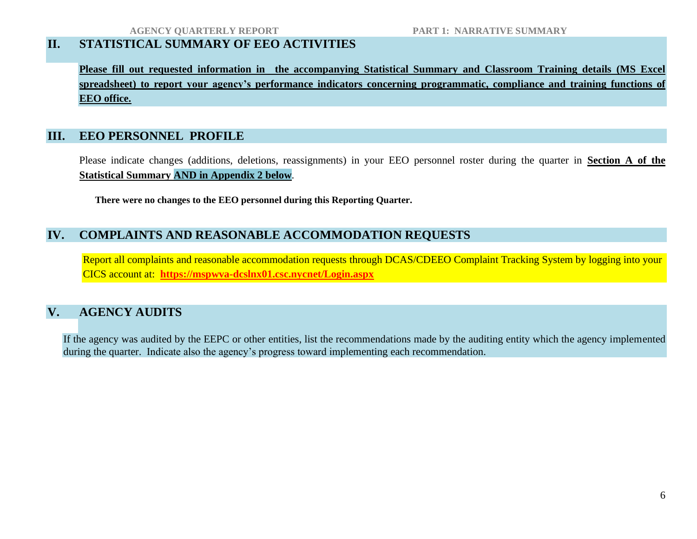# **II. STATISTICAL SUMMARY OF EEO ACTIVITIES**

**Please fill out requested information in the accompanying Statistical Summary and Classroom Training details (MS Excel spreadsheet) to report your agency's performance indicators concerning programmatic, compliance and training functions of EEO office.**

## **III. EEO PERSONNEL PROFILE**

Please indicate changes (additions, deletions, reassignments) in your EEO personnel roster during the quarter in **Section A of the Statistical Summary AND in Appendix 2 below**.

**There were no changes to the EEO personnel during this Reporting Quarter.**

## **IV. COMPLAINTS AND REASONABLE ACCOMMODATION REQUESTS**

Report all complaints and reasonable accommodation requests through DCAS/CDEEO Complaint Tracking System by logging into your CICS account at: **<https://mspwva-dcslnx01.csc.nycnet/Login.aspx>**

## **V. AGENCY AUDITS**

If the agency was audited by the EEPC or other entities, list the recommendations made by the auditing entity which the agency implemented during the quarter. Indicate also the agency's progress toward implementing each recommendation.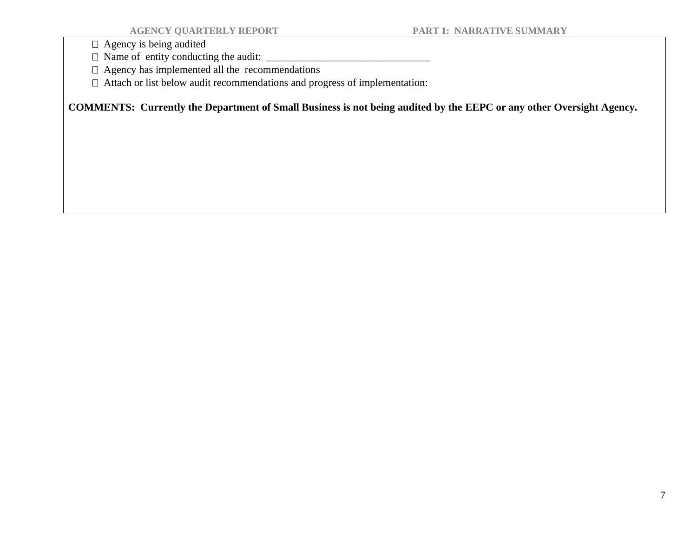$\Box$  Agency is being audited

 $\Box$  Name of entity conducting the audit:  $\Box$ 

Agency has implemented all the recommendations

Attach or list below audit recommendations and progress of implementation:

**COMMENTS: Currently the Department of Small Business is not being audited by the EEPC or any other Oversight Agency.**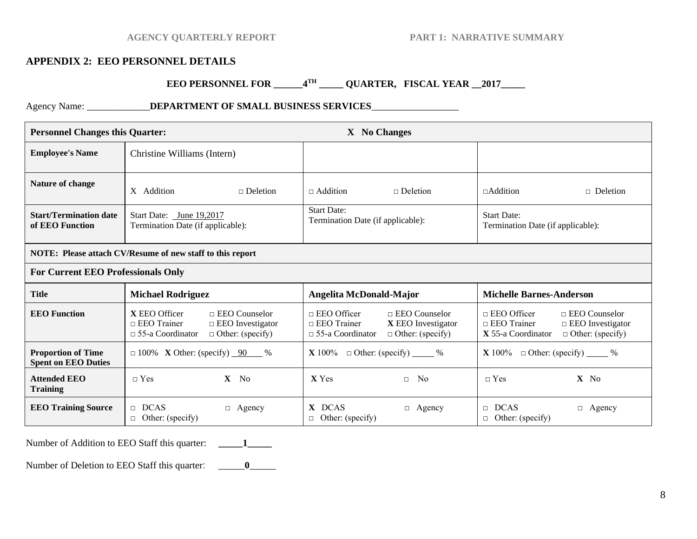#### **AGENCY QUARTERLY REPORT PART 1: NARRATIVE SUMMARY**

#### **APPENDIX 2: EEO PERSONNEL DETAILS**

#### **EEO PERSONNEL FOR \_\_\_\_\_\_4 TH \_\_\_\_\_ QUARTER, FISCAL YEAR \_\_2017\_\_\_\_\_**

Agency Name: \_\_\_\_\_\_\_\_\_\_\_\_\_**DEPARTMENT OF SMALL BUSINESS SERVICES**\_\_\_\_\_\_\_\_\_\_\_\_\_\_\_\_\_\_

| <b>Personnel Changes this Quarter:</b>                    |                                                                                                                                              | X No Changes                                                                                                                                 |                                                                                                                                              |
|-----------------------------------------------------------|----------------------------------------------------------------------------------------------------------------------------------------------|----------------------------------------------------------------------------------------------------------------------------------------------|----------------------------------------------------------------------------------------------------------------------------------------------|
| <b>Employee's Name</b>                                    | Christine Williams (Intern)                                                                                                                  |                                                                                                                                              |                                                                                                                                              |
| Nature of change                                          | X Addition<br>$\Box$ Deletion                                                                                                                | $\Box$ Addition<br>$\Box$ Deletion                                                                                                           | $\Box$ Addition<br>$\Box$ Deletion                                                                                                           |
| <b>Start/Termination date</b><br>of EEO Function          | Start Date: June 19,2017<br>Termination Date (if applicable):                                                                                | <b>Start Date:</b><br>Termination Date (if applicable):                                                                                      | <b>Start Date:</b><br>Termination Date (if applicable):                                                                                      |
| NOTE: Please attach CV/Resume of new staff to this report |                                                                                                                                              |                                                                                                                                              |                                                                                                                                              |
| <b>For Current EEO Professionals Only</b>                 |                                                                                                                                              |                                                                                                                                              |                                                                                                                                              |
| <b>Title</b>                                              | <b>Michael Rodriguez</b>                                                                                                                     | Angelita McDonald-Major                                                                                                                      | <b>Michelle Barnes-Anderson</b>                                                                                                              |
| <b>EEO</b> Function                                       | X EEO Officer<br>$\Box$ EEO Counselor<br>$\Box$ EEO Trainer<br>$\Box$ EEO Investigator<br>$\Box$ 55-a Coordinator<br>$\Box$ Other: (specify) | $\Box$ EEO Officer<br>$\Box$ EEO Counselor<br>$\Box$ EEO Trainer<br>X EEO Investigator<br>$\Box$ 55-a Coordinator<br>$\Box$ Other: (specify) | $\Box$ EEO Officer<br>$\Box$ EEO Counselor<br>$\Box$ EEO Trainer<br>$\Box$ EEO Investigator<br>X 55-a Coordinator<br>$\Box$ Other: (specify) |
| <b>Proportion of Time</b><br><b>Spent on EEO Duties</b>   | $\Box$ 100% X Other: (specify) 90 %                                                                                                          | $\Box$ Other: (specify) $\_\_\_\_\%$<br>$\mathbf{X}$ 100%                                                                                    | $\mathbf{X}$ 100%<br>$\Box$ Other: (specify) $\_\_\_\_\%$                                                                                    |
| <b>Attended EEO</b><br><b>Training</b>                    | $\neg$ Yes<br>$X$ No                                                                                                                         | <b>X</b> Yes<br>N <sub>0</sub><br>$\Box$                                                                                                     | $X$ No<br>$\neg$ Yes                                                                                                                         |
| <b>EEO Training Source</b>                                | $\Box$ DCAS<br>$\Box$ Agency<br>$\Box$ Other: (specify)                                                                                      | X DCAS<br>Agency<br>$\Box$<br>$\Box$ Other: (specify)                                                                                        | <b>DCAS</b><br>$\Box$<br>$\Box$ Agency<br>$\Box$ Other: (specify)                                                                            |

Number of Addition to EEO Staff this quarter: **\_\_\_\_\_1\_\_\_\_\_**

Number of Deletion to EEO Staff this quarter: \_\_\_\_\_\_\_\_\_0\_\_\_\_\_\_\_